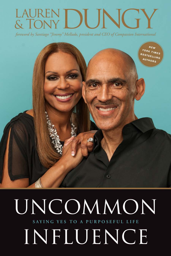# LAUREN DUNGY

foreword by Santiago "Jimmy" Mellado, president and CEO of Compassion International



## UNCOMMON SAYING YES TO A PURPOSEFUL LIFE INFLUENCE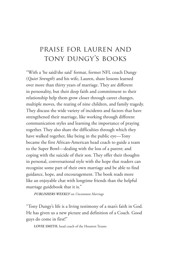## praise for lauren and tony dungy's books

"With a 'he said/she said' format, former NFL coach Dungy (*Quiet Strength*) and his wife, Lauren, share lessons learned over more than thirty years of marriage. They are different in personality, but their deep faith and commitment to their relationship help them grow closer through career changes, multiple moves, the rearing of nine children, and family tragedy. They discuss the wide variety of incidents and factors that have strengthened their marriage, like working through different communication styles and learning the importance of praying together. They also share the difficulties through which they have walked together, like being in the public eye—Tony became the first African-American head coach to guide a team to the Super Bowl—dealing with the loss of a parent; and coping with the suicide of their son. They offer their thoughts in personal, conversational style with the hope that readers can recognize some part of their own marriage and be able to find guidance, hope, and encouragement. The book reads more like an enjoyable chat with longtime friends than the helpful marriage guidebook that it is."

*PUBLISHERS WEEKLY* on *Uncommon Marriage*

"Tony Dungy's life is a living testimony of a man's faith in God. He has given us a new picture and definition of a Coach. Good guys do come in first!"

**LOVIE SMITH**, head coach of the Houston Texans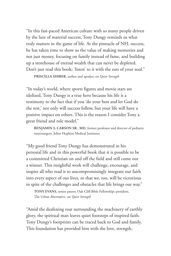"In this fast-paced American culture with so many people driven by the lure of material success, Tony Dungy reminds us what truly matters in the game of life. At the pinnacle of NFL success, he has taken time to show us the value of making memories and not just money, focusing on family instead of fame, and building up a storehouse of eternal wealth that can never be depleted. Don't just read this book; 'listen' to it with the ears of your soul."

**PRISCILLA SHIRER**, author and speaker, on *Quiet Strength*

"In today's world, where sports figures and movie stars are idolized, Tony Dungy is a true hero because his life is a testimony to the fact that if you 'do your best and let God do the rest,' not only will success follow, but your life will have a positive impact on others. This is the reason I consider Tony a great friend and role model."

**BENJAMIN S. CARSON SR.**, **MD**, former professor and director of pediatric neurosurgery, Johns Hopkins Medical Institutes

"My good friend Tony Dungy has demonstrated in his personal life and in this powerful book that it is possible to be a committed Christian on and off the field and still come out a winner. This insightful work will challenge, encourage, and inspire all who read it to uncompromisingly integrate our faith into every aspect of our lives, so that we, too, will be victorious in spite of the challenges and obstacles that life brings our way."

**TONY EVANS**, senior pastor, Oak Cliff Bible Fellowship; president, The Urban Alternative, on *Quiet Strength*

"Amid the deafening roar surrounding the machinery of earthly glory, the spiritual man leaves quiet footsteps of inspired faith. Tony Dungy's footprints can be traced back to God and family. This foundation has provided him with the love, strength,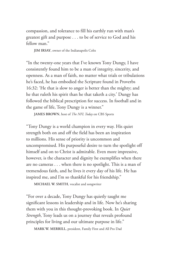compassion, and tolerance to fill his earthly run with man's greatest gift and purpose . . . to be of service to God and his fellow man."

**JIM IRSAY**, owner of the Indianapolis Colts

"In the twenty-one years that I've known Tony Dungy, I have consistently found him to be a man of integrity, sincerity, and openness. As a man of faith, no matter what trials or tribulations he's faced, he has embodied the Scripture found in Proverbs 16:32: 'He that is slow to anger is better than the mighty; and he that ruleth his spirit than he that taketh a city.' Dungy has followed the biblical prescription for success. In football and in the game of life, Tony Dungy is a winner."

**JAMES BROWN**, host of *The NFL Today* on CBS Sports

"Tony Dungy is a world champion in every way. His quiet strength both on and off the field has been an inspiration to millions. His sense of priority is uncommon and uncompromised. His purposeful desire to turn the spotlight off himself and on to Christ is admirable. Even more impressive, however, is the character and dignity he exemplifies when there are no cameras . . . when there is no spotlight. This is a man of tremendous faith, and he lives it every day of his life. He has inspired me, and I'm so thankful for his friendship."

**MICHAEL W. SMITH**, vocalist and songwriter

"For over a decade, Tony Dungy has quietly taught me significant lessons in leadership and in life. Now he's sharing them with you in this thought-provoking book. In *Quiet Strength*, Tony leads us on a journey that reveals profound principles for living and our ultimate purpose in life."

**MARK W. MERRILL**, president, Family First and All Pro Dad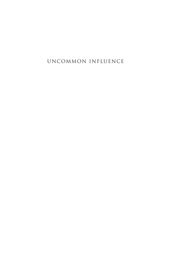UNCOMMON INFLUENCE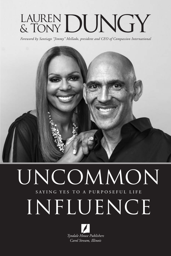## $UL$ LAUREN & TONY

.<br>Foreword by Santiago "Jimmy" Mellado, president and CEO of Compassion International



## SAYING YES TO A PURPOSEFUL LIFE **Choices that bring** *lasting* **change** INFLUENCE UNCOMMON **SAYING YES TO A PURPOSEFUL LIFE**

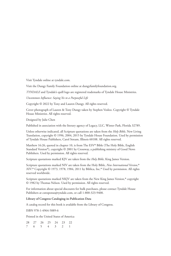Visit Tyndale online at tyndale.com.

Visit the Dungy Family Foundation online at dungyfamilyfoundation.org.

*TYNDALE* and Tyndale's quill logo are registered trademarks of Tyndale House Ministries.

*Uncommon Influence: Saying Yes to a Purposeful Life*

Copyright © 2022 by Tony and Lauren Dungy. All rights reserved.

Cover photograph of Lauren & Tony Dungy taken by Stephen Vosloo. Copyright © Tyndale House Ministries. All rights reserved.

Designed by Julie Chen

Published in association with the literary agency of Legacy, LLC, Winter Park, Florida 32789.

Unless otherwise indicated, all Scripture quotations are taken from the *Holy Bible*, New Living Translation, copyright © 1996, 2004, 2015 by Tyndale House Foundation. Used by permission of Tyndale House Publishers, Carol Stream, Illinois 60188. All rights reserved.

Matthew 16:26, quoted in chapter 10, is from The ESV® Bible (The Holy Bible, English Standard Version®), copyright © 2001 by Crossway, a publishing ministry of Good News Publishers. Used by permission. All rights reserved.

Scripture quotations marked KJV are taken from the *Holy Bible*, King James Version.

Scripture quotations marked NIV are taken from the Holy Bible, *New International Version*, Scripture quotations marked NIV are taken from the Holy Bible, *New International Version*,®<br>*NIV*.® Copyright © 1973, 1978, 1984, 2011 by Biblica, Inc.® Used by permission. All rights reserved worldwide.

Scripture quotations marked NKJV are taken from the New King James Version,® copyright © 1982 by Thomas Nelson. Used by permission. All rights reserved.

For information about special discounts for bulk purchases, please contact Tyndale House Publishers at csresponse@tyndale.com, or call 1-800-323-9400.

#### **Library of Congress Cataloging-in-Publication Data**

A catalog record for this book is available from the Library of Congress.

ISBN 978-1-4964-5889-6

Printed in the United States of America

|  |  | 28 27 26 25 24 23 22 |  |
|--|--|----------------------|--|
|  |  | 7 6 5 4 3 2 1        |  |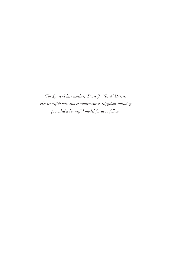*For Lauren's late mother, Doris J. "Bird" Harris. Her unselfish love and commitment to Kingdom-building provided a beautiful model for us to follow.*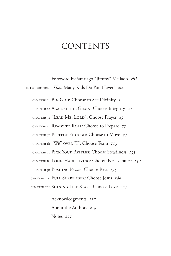## CONTENTS

 [Foreword by Santiago "Jimmy" Mellado](#page-13-0) *xiii* Introduction: "*How* [Many Kids Do You Have?"](#page-19-0) *xix*

Chapter 1: [Big God: Choose to See Divinity](#page-39-0)  *1*

Chapter 2: Against the Grain: Choose Integrity  *27*

Chapter 3: "Lead Me, Lord": Choose Prayer  *49*

Chapter 4: Ready to Roll: Choose to Prepare  *77*

Chapter 5: Perfect Enough: Choose to Move  *93*

Chapter 6: "We" over "I": Choose Team  *115*

Chapter 7: Pick Your Battles: Choose Steadiness  *135*

Chapter 8: Long-Haul Living: Choose Perseverance  *157*

Chapter 9: Pushing Pause: Choose Rest  *175*

Chapter 10: Full Surrender: Choose Jesus  *189*

Chapter 11: Shining Like Stars: Choose Love  *203*

 Acknowledgments *217* About the Authors *219* Notes *221*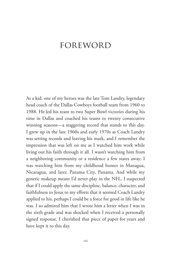## <span id="page-13-0"></span>foreword

As a kid, one of my heroes was the late Tom Landry, legendary head coach of the Dallas Cowboys football team from 1960 to 1988. He led his team to two Super Bowl victories during his time in Dallas and coached his teams to twenty consecutive winning seasons—a staggering record that stands to this day. I grew up in the late 1960s and early 1970s as Coach Landry was setting records and leaving his mark, and I remember the impression that was left on me as I watched him work while living out his faith through it all. I wasn't watching him from a neighboring community or a residence a few states away; I was watching him from my childhood homes in Managua, Nicaragua, and later, Panama City, Panama. And while my genetic makeup meant I'd never play in the NFL, I suspected that if I could apply the same discipline, balance, character, and faithfulness to Jesus to my efforts that it seemed Coach Landry applied to his, perhaps I could be a force for good in life like he was. I so admired him that I wrote him a letter when I was in the sixth grade and was shocked when I received a personally signed response. I cherished that piece of paper for years and have kept it to this day.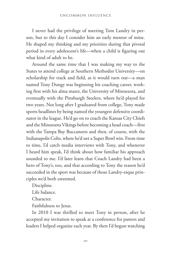UNCOMMON INFLUENCE

I never had the privilege of meeting Tom Landry in person, but to this day I consider him an early mentor of mine. He shaped my thinking and my priorities during that pivotal period in every adolescent's life—when a child is figuring out what kind of adult to be.

Around the same time that I was making my way to the States to attend college at Southern Methodist University—on scholarship for track and field, as it would turn out—a man named Tony Dungy was beginning his coaching career, working first with his alma mater, the University of Minnesota, and eventually with the Pittsburgh Steelers, where he'd played for two years. Not long after I graduated from college, Tony made sports headlines by being named the youngest defensive coordinator in the league. He'd go on to coach the Kansas City Chiefs and the Minnesota Vikings before becoming a head coach—first with the Tampa Bay Buccaneers and then, of course, with the Indianapolis Colts, where he'd net a Super Bowl win. From time to time, I'd catch media interviews with Tony, and whenever I heard him speak, I'd think about how familiar his approach sounded to me. I'd later learn that Coach Landry had been a hero of Tony's, too, and that according to Tony the reason he'd succeeded in the sport was because of those Landry-esque principles we'd both esteemed.

Discipline.

Life balance.

Character.

Faithfulness to Jesus.

In 2010 I was thrilled to meet Tony in person, after he accepted my invitation to speak at a conference for pastors and leaders I helped organize each year. By then I'd begun watching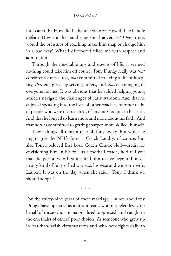#### foreword

him carefully: How did he handle victory? How did he handle defeat? How did he handle personal adversity? Over time, would the pressures of coaching make him snap or change him in a bad way? What I discovered filled me with respect and admiration.

Through the inevitable ups and downs of life, it seemed nothing could take him off course. Tony Dungy really was *that* consistently measured, *that* committed to living a life of integrity, *that* energized by serving others, and *that* encouraging of everyone he met. It was obvious that he valued helping young athletes navigate the challenges of early stardom. And that he enjoyed speaking into the lives of other coaches, of other dads, of people who were incarcerated, of anyone God put in his path. And that he longed to learn more and more about his faith. And that he was committed to getting sharper, more skilled, himself.

These things all remain true of Tony today. But while he might give the NFL's finest—Coach Landry, of course, but also Tony's beloved first boss, Coach Chuck Noll—credit for envisioning him in his role as a football coach, he'd tell you that the person who first inspired him to live beyond himself in any kind of fully orbed way was his wise and winsome wife, Lauren. It was on the day when she said, "Tony, I think we should adopt."

• • •

For the thirty-nine years of their marriage, Lauren and Tony Dungy have operated as a dream team, working relentlessly on behalf of those who are marginalized, oppressed, and caught in the crosshairs of others' poor choices. As someone who grew up in less-than-lavish circumstances and who now fights daily to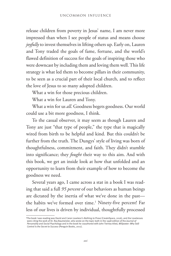release children from poverty in Jesus' name, I am never more impressed than when I see people of status and means choose *joyfully* to invest themselves in lifting others up. Early on, Lauren and Tony traded the goals of fame, fortune, and the world's flawed definition of success for the goals of inspiring those who were downcast by including them and loving them well. This life strategy is what led them to become pillars in their community, to be seen as a crucial part of their local church, and to reflect the love of Jesus to so many adopted children.

What a win for those precious children.

What a win for Lauren and Tony.

What a win for us *all*. Goodness begets goodness. Our world could use a bit more goodness, I think.

To the casual observer, it may seem as though Lauren and Tony are just "that type of people," the type that is magically wired from birth to be helpful and kind. But this couldn't be further from the truth. The Dungys' style of living was born of thoughtfulness, commitment, and faith. They didn't stumble into significance; they *fought* their way to this aim. And with this book, we get an inside look at how that unfolded and an opportunity to learn from their example of how to become the goodness we need.

Several years ago, I came across a stat in a book I was reading that said a full *95 percent* of our behaviors as human beings are dictated by the inertia of what we've done in the past the habits we've formed over time.<sup>1</sup> Ninety-five percent! Far less of our lives is driven by individual, thoughtfully processed

<sup>1</sup>The book I was reading was David and Caron Loveless's *Nothing to Prove* (CreateSpace, 2016), and the Lovelesses were citing the work of Dr. Roy Baumeister, who wrote on the topic both in the 1998 edition of the *Journal of Personality and Social Psychology* and in the book he coauthored with John Tierney titled, *Willpower: Why Self-Control Is the Secret to Success* (Penguin Books, 2011).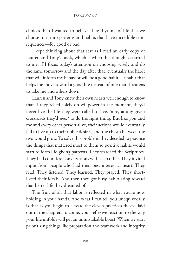#### foreword

choices than I wanted to believe. The rhythms of life that we choose turn into patterns and habits that have incredible consequences—for good or bad.

I kept thinking about that stat as I read an early copy of Lauren and Tony's book, which is when this thought occurred to me: if I focus today's attention on choosing wisely and do the same tomorrow and the day after that, eventually the habit that will inform my behavior will be a good habit—a habit that helps me move toward a good life instead of one that threatens to take me and others down.

Lauren and Tony knew their own hearts well enough to know that if they relied solely on willpower in the moment, they'd never live the life they were called to live. Sure, at any given crossroads they'd *want* to do the right thing. But like you and me and every other person alive, their actions would eventually fail to live up to their noble desires, and the chasm between the two would grow. To solve this problem, they decided to practice the things that mattered most to them so positive habits would start to form life-giving patterns. They searched the Scriptures. They had countless conversations with each other. They invited input from people who had their best interest at heart. They read. They listened. They learned. They prayed. They shortlisted their ideals. And then they got busy habituating toward that better life they dreamed of.

The fruit of all that labor is reflected in what you're now holding in your hands. And what I can tell you unequivocally is that as you begin to elevate the eleven practices they've laid out in the chapters to come, your reflexive reaction to the way your life unfolds will get an unmistakable boost. When we start prioritizing things like preparation and teamwork and integrity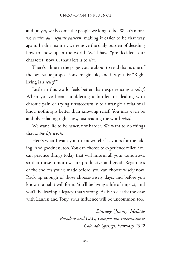and prayer, we become the people we long to be. What's more, we *rewire our default pattern*, making it easier to be that way again. In this manner, we remove the daily burden of deciding how to show up in the world. We'll have "pre-decided" our character; now all that's left is to *live*.

There's a line in the pages you're about to read that is one of the best value propositions imaginable, and it says this: "Right living is a *relief*."

Little in this world feels better than experiencing a *relief*. When you've been shouldering a burden or dealing with chronic pain or trying unsuccessfully to untangle a relational knot, nothing is better than knowing relief. You may even be audibly exhaling right now, just reading the word *relief*.

We want life to be *easier*, not harder. We want to do things that *make life work*.

Here's what I want you to know: relief is yours for the taking. And goodness, too. You can choose to experience relief. You can practice things today that will inform all your tomorrows so that those tomorrows are productive and good. Regardless of the choices you've made before, you can choose wisely now. Rack up enough of those choose-wisely days, and before you know it a habit will form. You'll be living a life of impact, and you'll be leaving a legacy that's strong. As is so clearly the case with Lauren and Tony, your influence will be uncommon too.

> *Santiago "Jimmy" Mellado President and CEO, Compassion International Colorado Springs, February 2022*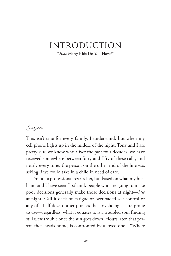## <span id="page-19-0"></span>introduction

"*How* Many Kids Do You Have?"

Lauren

This isn't true for every family, I understand, but when my cell phone lights up in the middle of the night, Tony and I are pretty sure we know why. Over the past four decades, we have received somewhere between forty and fifty of these calls, and nearly every time, the person on the other end of the line was asking if we could take in a child in need of care.

I'm not a professional researcher, but based on what my husband and I have seen firsthand, people who are going to make poor decisions generally make those decisions at night—*late* at night. Call it decision fatigue or overloaded self-control or any of a half dozen other phrases that psychologists are prone to use—regardless, what it equates to is a troubled soul finding still *more* trouble once the sun goes down. Hours later, that person then heads home, is confronted by a loved one—"Where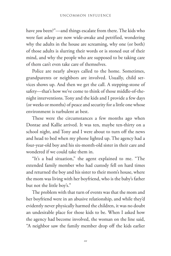have *you* been?"—and things escalate from there. The kids who were fast asleep are now wide-awake and petrified, wondering why the adults in the house are screaming, why one (or both) of those adults is slurring their words or is stoned out of their mind, and why the people who are supposed to be taking care of them can't even take care of themselves.

Police are nearly always called to the home. Sometimes, grandparents or neighbors are involved. Usually, child services shows up. And then we get the call. A stepping-stone of safety—that's how we've come to think of those middle-of-thenight interventions. Tony and the kids and I provide a few days (or weeks or months) of peace and security for a little one whose environment is turbulent at best.

These were the circumstances a few months ago when Dontae and Kallie arrived. It was ten, maybe ten- thirty on a school night, and Tony and I were about to turn off the news and head to bed when my phone lighted up. The agency had a four-year-old boy and his six-month-old sister in their care and wondered if we could take them in.

"It's a bad situation," the agent explained to me. "The extended family member who had custody fell on hard times and returned the boy and his sister to their mom's house, where the mom was living with her boyfriend, who is the baby's father but not the little boy's."

The problem with that turn of events was that the mom and her boyfriend were in an abusive relationship, and while they'd evidently never physically harmed the children, it was no doubt an undesirable place for those kids to be. When I asked how the agency had become involved, the woman on the line said, "A neighbor saw the family member drop off the kids earlier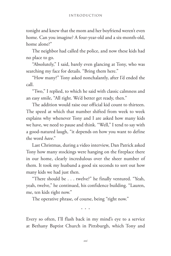tonight and knew that the mom and her boyfriend weren't even home. Can you imagine? A four-year-old and a six-month-old, home alone?"

The neighbor had called the police, and now these kids had no place to go.

"Absolutely," I said, barely even glancing at Tony, who was searching my face for details. "Bring them here."

"How many?" Tony asked nonchalantly, after I'd ended the call.

"Two," I replied, to which he said with classic calmness and an easy smile, "All right. We'd better get ready, then."

The addition would raise our official kid count to thirteen. The speed at which that number shifted from week to week explains why whenever Tony and I are asked how many kids we have, we need to pause and think. "Well," I tend to say with a good-natured laugh, "it depends on how you want to define the word *have*."

Last Christmas, during a video interview, Dan Patrick asked Tony how many stockings were hanging on the fireplace there in our home, clearly incredulous over the sheer number of them. It took my husband a good six seconds to sort out how many kids we had just then.

"There should be . . . twelve?" he finally ventured. "Yeah, yeah, twelve," he continued, his confidence building. "Lauren, me, ten kids right now."

The operative phrase, of course, being "right now."

• • •

Every so often, I'll flash back in my mind's eye to a service at Bethany Baptist Church in Pittsburgh, which Tony and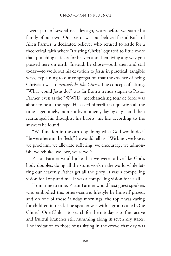I were part of several decades ago, years before we started a family of our own. Our pastor was our beloved friend Richard Allen Farmer, a dedicated believer who refused to settle for a theoretical faith where "trusting Christ" equated to little more than punching a ticket for heaven and then living any way you pleased here on earth. Instead, he chose—both then and still today—to work out his devotion to Jesus in practical, tangible ways, explaining to our congregation that the essence of being Christian was to *actually be like Christ*. The concept of asking, "What would Jesus do?" was far from a trendy slogan to Pastor Farmer, even as the "WWJD" merchandising tour de force was about to be all the rage. He asked himself that question all the time—genuinely, moment by moment, day by day—and then rearranged his thoughts, his habits, his life according to the answers he found.

"We function in the earth by doing what God would do if He were here in the flesh," he would tell us. "We bind, we loose, we proclaim, we alleviate suffering, we encourage, we admonish, we rebuke, we love, we serve."1

Pastor Farmer would joke that we were to live like God's body doubles, doing all the stunt work in the world while letting our heavenly Father get all the glory. It was a compelling vision for Tony and me. It was a compelling vision for us all.

From time to time, Pastor Farmer would host guest speakers who embodied this others-centric lifestyle he himself prized, and on one of those Sunday mornings, the topic was caring for children in need. The speaker was with a group called One Church One Child—to search for them today is to find active and fruitful branches still humming along in seven key states. The invitation to those of us sitting in the crowd that day was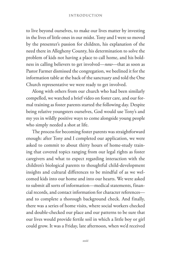to live beyond ourselves, to make our lives matter by investing in the lives of little ones in our midst. Tony and I were so moved by the presenter's passion for children, his explanation of the need there in Allegheny County, his determination to solve the problem of kids not having a place to call home, and his boldness in calling believers to get involved—*now*—that as soon as Pastor Farmer dismissed the congregation, we beelined it for the information table at the back of the sanctuary and told the One Church representative we were ready to get involved.

Along with others from our church who had been similarly compelled, we watched a brief video on foster care, and our formal training as foster parents started the following day. Despite being relative youngsters ourselves, God would use Tony's and my yes in wildly positive ways to come alongside young people who simply needed a shot at life.

The process for becoming foster parents was straightforward enough: after Tony and I completed our application, we were asked to commit to about thirty hours of home-study training that covered topics ranging from our legal rights as foster caregivers and what to expect regarding interaction with the children's biological parents to thoughtful child-development insights and cultural differences to be mindful of as we welcomed kids into our home and into our hearts. We were asked to submit all sorts of information—medical statements, financial records, and contact information for character references and to complete a thorough background check. And finally, there was a series of home visits, where social workers checked and double-checked our place and our patterns to be sure that our lives would provide fertile soil in which a little boy or girl could grow. It was a Friday, late afternoon, when we'd received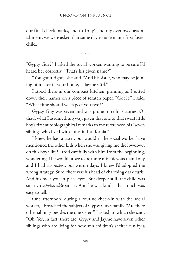our final check marks, and to Tony's and my overjoyed astonishment, we were asked that same day to take in our first foster child.

• • •

"Gypsy Guy?" I asked the social worker, wanting to be sure I'd heard her correctly. "That's his given name?"

"You got it right," she said. "And his sister, who may be joining him later in your home, is Jayme Girl."

I stood there in our compact kitchen, grinning as I jotted down their names on a piece of scratch paper. "Got it," I said. "What time should we expect you two?"

Gypsy Guy was seven and was prone to telling stories. Or that's what I assumed, anyway, given that one of that sweet little boy's first autobiographical remarks to me referenced his "seven siblings who lived with nuns in California."

I knew he had a sister, but wouldn't the social worker have mentioned the other kids when she was giving me the lowdown on this boy's life? I trod carefully with him from the beginning, wondering if he would prove to be more mischievous than Tony and I had suspected, but within days, I knew I'd adopted the wrong strategy. Sure, there was his head of charming dark curls. And his melt-you-in-place eyes. But deeper still, the child was smart. *Unbelievably* smart. And he was kind—that much was easy to tell.

One afternoon, during a routine check-in with the social worker, I broached the subject of Gypsy Guy's family. "Are there other siblings besides the one sister?" I asked, to which she said, "Oh! Yes, in fact, there are. Gypsy and Jayme have seven other siblings who are living for now at a children's shelter run by a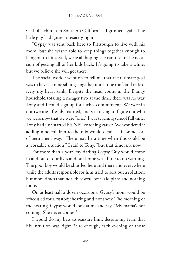Catholic church in Southern California." I grinned again. The little guy had gotten it exactly right.

"Gypsy was sent back here to Pittsburgh to live with his mom, but she wasn't able to keep things together enough to hang on to him. Still, we're all hoping she can rise to the occasion of getting all of her kids back. It's going to take a while, but we believe she will get there."

The social worker went on to tell me that the ultimate goal was to have all nine siblings together under one roof, and reflexively my heart sank. Despite the head count in the Dungy household totaling a meager two at the time, there was no way Tony and I could sign up for such a commitment. We were in our twenties, freshly married, and still trying to figure out who we were now that we were "one." I was teaching school full time. Tony had just started his NFL coaching career. We wondered if adding nine children to the mix would derail us in some sort of permanent way. "There may be a time when this could be a workable situation," I said to Tony, "but that time isn't now."

For more than a year, my darling Gypsy Guy would come in and out of our lives and our home with little to no warning. The poor boy would be shuttled here and there and everywhere while the adults responsible for him tried to sort out a solution, but more times than not, they were best-laid plans and nothing more.

On at least half a dozen occasions, Gypsy's mom would be scheduled for a custody hearing and not show. The morning of the hearing, Gypsy would look at me and say, "My mama's not coming. She never comes."

I would do my best to reassure him, despite my fears that his intuition was right. Sure enough, each evening of those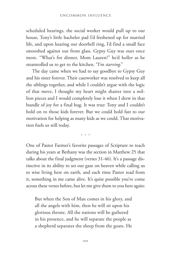scheduled hearings, the social worker would pull up to our house, Tony's little bachelor pad I'd freshened up for married life, and upon hearing our doorbell ring, I'd find a small face smooshed against our front glass. Gypsy Guy was ours once more. "What's for dinner, Mom Lauren?" he'd holler as he steamrolled us to get to the kitchen. "I'm *starving*."

The day came when we had to say goodbye to Gypsy Guy and his sister forever. Their caseworker was resolved to keep all the siblings together, and while I couldn't argue with the logic of that move, I thought my heart might shatter into a million pieces and I would completely lose it when I drew in that bundle of joy for a final hug. It was true: Tony and I couldn't hold on to those kids forever. But we could hold fast to our motivation for helping as many kids as we could. That motivation fuels us still today.

• • •

One of Pastor Farmer's favorite passages of Scripture to teach during his years at Bethany was the section in Matthew 25 that talks about the final judgment (verses 31-46). It's a passage distinctive in its ability to set our gaze on heaven while calling us to wise living here on earth, and each time Pastor read from it, something in me came alive. It's quite possible you've come across these verses before, but let me give them to you here again:

But when the Son of Man comes in his glory, and all the angels with him, then he will sit upon his glorious throne. All the nations will be gathered in his presence, and he will separate the people as a shepherd separates the sheep from the goats. He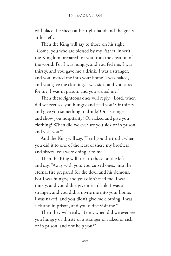will place the sheep at his right hand and the goats at his left.

Then the King will say to those on his right, "Come, you who are blessed by my Father, inherit the Kingdom prepared for you from the creation of the world. For I was hungry, and you fed me. I was thirsty, and you gave me a drink. I was a stranger, and you invited me into your home. I was naked, and you gave me clothing. I was sick, and you cared for me. I was in prison, and you visited me."

Then these righteous ones will reply, "Lord, when did we ever see you hungry and feed you? Or thirsty and give you something to drink? Or a stranger and show you hospitality? Or naked and give you clothing? When did we ever see you sick or in prison and visit you?"

And the King will say, "I tell you the truth, when you did it to one of the least of these my brothers and sisters, you were doing it to me!"

Then the King will turn to those on the left and say, "Away with you, you cursed ones, into the eternal fire prepared for the devil and his demons. For I was hungry, and you didn't feed me. I was thirsty, and you didn't give me a drink. I was a stranger, and you didn't invite me into your home. I was naked, and you didn't give me clothing. I was sick and in prison, and you didn't visit me."

Then they will reply, "Lord, when did we ever see you hungry or thirsty or a stranger or naked or sick or in prison, and not help you?"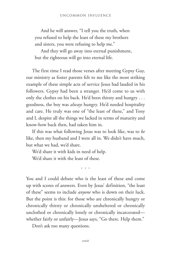And he will answer, "I tell you the truth, when you refused to help the least of these my brothers and sisters, you were refusing to help me."

And they will go away into eternal punishment, but the righteous will go into eternal life.

The first time I read those verses after meeting Gypsy Guy, our ministry as foster parents felt to me like the most striking example of these simple acts of service Jesus had lauded in his followers. Gypsy had been a stranger. He'd come to us with only the clothes on his back. He'd been thirsty and hungry . . . goodness, the boy was *always* hungry. He'd needed hospitality and care. He truly was one of "the least of these," and Tony and I, despite all the things we lacked in terms of maturity and know-how back then, had taken him in.

If this was what following Jesus was to look like, was to *be* like, then my husband and I were all in. We didn't have much, but what we had, we'd share.

We'd share it with kids in need of help.

We'd share it with the least of these.

• • •

You and I could debate who is the least of these and come up with scores of answers. Even by Jesus' definition, "the least of these" seems to include *anyone* who is down on their luck. But the point is this: for those who are chronically hungry or chronically thirsty or chronically unsheltered or chronically unclothed or chronically lonely or chronically incarcerated whether fairly or unfairly—Jesus says, "Go there. Help them."

Don't ask too many questions.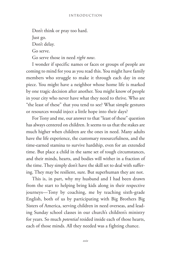Don't think or pray too hard. Just go. Don't delay. Go serve.

Go serve those in need *right now*.

I wonder if specific names or faces or groups of people are coming to mind for you as you read this. You might have family members who struggle to make it through each day in one piece. You might have a neighbor whose home life is marked by one tragic decision after another. You might know of people in your city who never have what they need to thrive. Who are "the least of these" that you tend to see? What simple gestures or resources would inject a little hope into their days?

For Tony and me, our answer to that "least of these" question has always centered on children. It seems to us that the stakes are much higher when children are the ones in need. Many adults have the life experience, the customary resourcefulness, and the time-earned stamina to survive hardship, even for an extended time. But place a child in the same set of tough circumstances, and their minds, hearts, and bodies will wither in a fraction of the time. They simply don't have the skill set to deal with suffering. They may be resilient, sure. But superhuman they are not.

This is, in part, why my husband and I had been drawn from the start to helping bring kids along in their respective journeys—Tony by coaching, me by teaching sixth-grade English, both of us by participating with Big Brothers Big Sisters of America, serving children in need overseas, and leading Sunday school classes in our church's children's ministry for years. So much *potential* resided inside each of those hearts, each of those minds. All they needed was a fighting chance.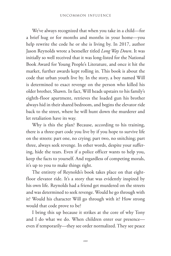We've always recognized that when you take in a child—for a brief hug or for months and months in your home— you help rewrite the code he or she is living by. In 2017, author Jason Reynolds wrote a bestseller titled *Long Way Down*. It was initially so well received that it was long-listed for the National Book Award for Young People's Literature, and once it hit the market, further awards kept rolling in. This book is about the code that urban youth live by. In the story, a boy named Will is determined to exact revenge on the person who killed his older brother, Shawn. In fact, Will heads upstairs to his family's eighth-floor apartment, retrieves the loaded gun his brother always hid in their shared bedroom, and begins the elevator ride back to the street, where he will hunt down the murderer and let retaliation have its way.

Why is this the plan? Because, according to his training, there is a three-part code you live by if you hope to survive life on the streets: part one, no crying; part two, no snitching; part three, always seek revenge. In other words, despite your suffering, hide the tears. Even if a police officer wants to help you, keep the facts to yourself. And regardless of competing morals, it's up to you to make things right.

The entirety of Reynolds's book takes place on that eightfloor elevator ride. It's a story that was evidently inspired by his own life. Reynolds had a friend get murdered on the streets and was determined to seek revenge. Would he go through with it? Would his character Will go through with it? How strong would that code prove to be?

I bring this up because it strikes at the core of why Tony and I do what we do. When children enter our presence even if temporarily—they see order normalized. They see peace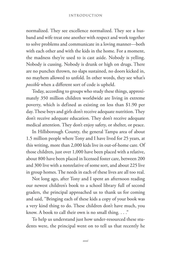normalized. They see excellence normalized. They see a husband and wife treat one another with respect and work together to solve problems and communicate in a loving manner—both with each other and with the kids in the home. For a moment, the madness they're used to is cast aside. Nobody is yelling. Nobody is cussing. Nobody is drunk or high on drugs. There are no punches thrown, no slaps sustained, no doors kicked in, no mayhem allowed to unfold. In other words, they see what's *possible* when a different sort of code is upheld.

Today, according to groups who study these things, approximately 350 million children worldwide are living in extreme poverty, which is defined as existing on less than \$1.90 per day. These boys and girls don't receive adequate nutrition. They don't receive adequate education. They don't receive adequate medical attention. They don't enjoy safety, or shelter, or peace.

In Hillsborough County, the general Tampa area of about 1.5 million people where Tony and I have lived for 25 years, at this writing, more than 2,000 kids live in out-of-home care. Of those children, just over 1,000 have been placed with a relative, about 800 have been placed in licensed foster care, between 200 and 300 live with a nonrelative of some sort, and about 225 live in group homes. The needs in each of these lives are all too real.

Not long ago, after Tony and I spent an afternoon reading our newest children's book to a school library full of second graders, the principal approached us to thank us for coming and said, "Bringing each of these kids a copy of your book was a very kind thing to do. These children don't have much, you know. A book to call their own is no small thing. . . ."

To help us understand just how under-resourced these students were, the principal went on to tell us that recently he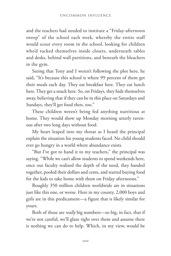and the teachers had needed to institute a "Friday-afternoon sweep" of the school each week, whereby the entire staff would scour every room in the school, looking for children who'd tucked themselves inside closets, underneath tables and desks, behind wall partitions, and beneath the bleachers in the gym.

Seeing that Tony and I weren't following the plot here, he said, "It's because this school is where 99 percent of them get their meals each day. They eat breakfast here. They eat lunch here. They get a snack here. So, on Fridays, they hide themselves away, believing that if they can be in this place on Saturdays and Sundays, they'll get food then, too."

These children weren't being fed anything nutritious at home. They would show up Monday morning utterly ravenous after two long days without food.

My heart leaped into my throat as I heard the principal explain the situation his young students faced. No child should ever go hungry in a world where abundance exists.

"But I've got to hand it to my teachers," the principal was saying. "While we can't allow students to spend weekends here, once our faculty realized the depth of the need, they banded together, pooled their dollars and cents, and started buying food for the kids to take home with them on Friday afternoons."

Roughly 350 million children worldwide are in situations just like this one, or worse. Here in my county, 2,000 boys and girls are in this predicament—a figure that is likely similar for yours.

Both of those are *really* big numbers—so big, in fact, that if we're not careful, we'll glaze right over them and assume there is nothing we can do to help. Which, in my view, would be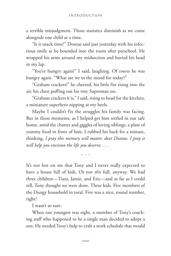a terrible misjudgment. Those statistics diminish as we come alongside one child at a time.

"Is it snack time?" Dontae said just yesterday with his infectious smile as he bounded into the room after preschool. He wrapped his arms around my midsection and buried his head in my lap.

"You're hungry again!" I said, laughing. Of *course* he was hungry again. "What are we in the mood for today?"

"Graham crackers!" he cheered, his little fist rising into the air, his chest puffing out his tiny Superman tee.

"Graham crackers it is," I said, rising to head for the kitchen, a miniature superhero nipping at my heels.

Maybe I couldn't fix the struggles his family was facing. But in those moments, as I helped get him settled in our safe home, amid the chatter and giggles of loving siblings, a plate of yummy food in front of him, I rubbed his back for a minute, thinking, *I pray this memory will matter, dear Dontae. I pray it will help you envision the life you deserve. . . .*

• • •

It's not lost on me that Tony and I never really expected to have a house full of kids. Or not *this* full, anyway. We had three children—Tiara, Jamie, and Eric—and as far as I could tell, Tony thought we were done. Three kids. Five members of the Dungy household in total. Five was a nice, round number, right?

I wasn't so sure.

When our youngest was eight, a member of Tony's coaching staff who happened to be a single man decided to adopt a son. He needed Tony's help to craft a work schedule that would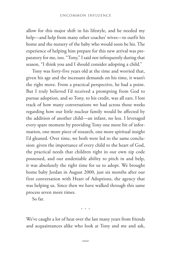allow for this major shift in his lifestyle, and he needed my help—and help from many other coaches' wives—to outfit his home and the nursery of the baby who would soon be his. The experience of helping him prepare for this new arrival was preparatory for me, too. "Tony," I said not infrequently during that season, "I think you and I should consider adopting a child."

Tony was forty-five years old at the time and worried that, given his age and the incessant demands on his time, it wasn't the right move. From a practical perspective, he had a point. But I truly believed I'd received a prompting from God to pursue adoption, and so Tony, to his credit, was all ears. I lost track of how many conversations we had across those weeks regarding how our little nuclear family would be affected by the addition of another child—an infant, no less. I leveraged every spare moment by providing Tony one more bit of information, one more piece of research, one more spiritual insight I'd gleaned. Over time, we both were led to the same conclusion: given the importance of every child to the heart of God, the practical needs that children right in our own zip code possessed, and our undeniable ability to pitch in and help, it was absolutely the right time for us to adopt. We brought home baby Jordan in August 2000, just six months after our first conversation with Heart of Adoptions, the agency that was helping us. Since then we have walked through this same process seven more times.

So far.

• • •

We've caught a lot of heat over the last many years from friends and acquaintances alike who look at Tony and me and ask,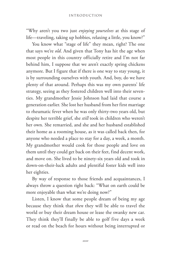"Why aren't you two just *enjoying yourselves* at this stage of life—traveling, taking up hobbies, relaxing a little, you know?"

You know what "stage of life" they mean, right? The one that says we're *old*. And given that Tony has hit the age when most people in this country officially retire and I'm not far behind him, I suppose that we aren't exactly spring chickens anymore. But I figure that if there is one way to stay young, it is by surrounding ourselves with youth. And, boy, do we have plenty of that around. Perhaps this was my own parents' life strategy, seeing as they fostered children well into their seventies. My grandmother Jessie Johnson had laid that course a generation earlier. She lost her husband from her first marriage to rheumatic fever when he was only thirty-two years old, but despite her terrible grief, she *still* took in children who weren't her own. She remarried, and she and her husband established their home as a rooming house, as it was called back then, for anyone who needed a place to stay for a day, a week, a month. My grandmother would cook for those people and love on them until they could get back on their feet, find decent work, and move on. She lived to be ninety-six years old and took in down-on-their-luck adults and plentiful foster kids well into her eighties.

By way of response to those friends and acquaintances, I always throw a question right back: "What on earth could be more enjoyable than what we're doing now?"

Listen, I know that some people dream of being my age because they think that *then* they will be able to travel the world or buy their dream house or lease the swanky new car. They think they'll finally be able to golf five days a week or read on the beach for hours without being interrupted or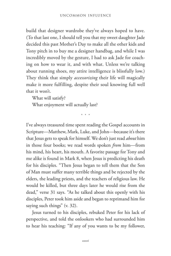build that designer wardrobe they've always hoped to have. (To that last one, I should tell you that my sweet daughter Jade decided this past Mother's Day to make all the other kids and Tony pitch in to buy me a designer handbag, and while I was incredibly moved by the gesture, I had to ask Jade for coaching on how to wear it, and with what. Unless we're talking about running shoes, my attire intelligence is blissfully low.) They think that simply *accessorizing* their life will magically make it more fulfilling, despite their soul knowing full well that it won't.

What will satisfy?

What enjoyment will actually last?

• • •

I've always treasured time spent reading the Gospel accounts in Scripture—Matthew, Mark, Luke, and John—because it's there that Jesus gets to speak for himself. We don't just read *about* him in those four books; we read words spoken *from* him— from his mind, his heart, his mouth. A favorite passage for Tony and me alike is found in Mark 8, when Jesus is predicting his death for his disciples. "Then Jesus began to tell them that the Son of Man must suffer many terrible things and be rejected by the elders, the leading priests, and the teachers of religious law. He would be killed, but three days later he would rise from the dead," verse 31 says. "As he talked about this openly with his disciples, Peter took him aside and began to reprimand him for saying such things" (v. 32).

Jesus turned to his disciples, rebuked Peter for his lack of perspective, and told the onlookers who had surrounded him to hear his teaching: "If any of you wants to be my follower,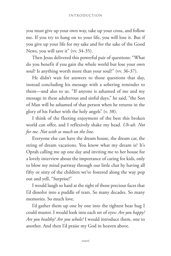you must give up your own way, take up your cross, and follow me. If you try to hang on to your life, you will lose it. But if you give up your life for my sake and for the sake of the Good News, you will save it" (vv. 34-35).

Then Jesus delivered this powerful pair of questions: "What do you benefit if you gain the whole world but lose your own soul? Is anything worth more than your soul?" (vv. 36-37).

He didn't wait for answers to those questions that day, instead concluding his message with a sobering reminder to them— and also to us. "If anyone is ashamed of me and my message in these adulterous and sinful days," he said, "the Son of Man will be ashamed of that person when he returns in the glory of his Father with the holy angels" (v. 38).

I think of the fleeting enjoyment of the best this broken world can offer, and I reflexively shake my head. *Uh-uh. Not for me. Not with so much on the line.*

Everyone else can have the dream house, the dream car, the string of dream vacations. You know what my dream is? It's Oprah calling me up one day and inviting me to her house for a lovely interview about the importance of caring for kids, only to blow my mind partway through our little chat by having all fifty or sixty of the children we've fostered along the way pop out and yell, "Surprise!"

I would laugh so hard at the sight of those precious faces that I'd dissolve into a puddle of tears. So many decades. So many memories. So much love.

I'd gather them up one by one into the tightest bear hug I could muster. I would look into each set of eyes: *Are you happy? Are you healthy? Are you whole?* I would introduce them, one to another. And then I'd praise my God in heaven above.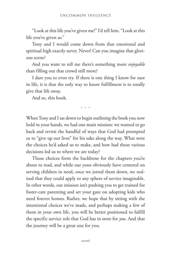"Look at this life you've given me!" I'd tell him. "Look at this life you've given *us*."

Tony and I would come down from that emotional and spiritual high exactly never. Never! Can you imagine that glorious scene?

And you want to tell me there's something more *enjoyable* than filling out that crowd still more?

I dare you to even try. If there is one thing I know for sure in life, it is that the only way to know fulfillment is to totally give that life away.

And so, this book.

• • •

When Tony and I sat down to begin outlining the book you now hold in your hands, we had one main mission: we wanted to go back and revisit the handful of ways that God had prompted us to "give up our lives" for his sake along the way. What were the choices he'd asked us to make, and how had those various decisions led us to where we are today?

Those choices form the backbone for the chapters you're about to read, and while our yeses obviously have centered on serving children in need, once we jotted them down, we realized that they could apply to any sphere of service imaginable. In other words, our mission isn't pushing you to get trained for foster-care parenting and set your gaze on adopting kids who need forever homes. Rather, we hope that by sitting with the intentional choices we've made, and perhaps making a few of them in your own life, you will be better positioned to fulfill the specific service role that God has in store for *you*. And that the journey will be a great one for you.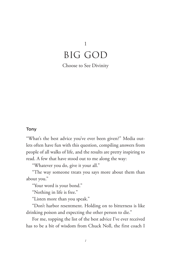## <span id="page-39-0"></span>1 BIG GOD

Choose to See Divinity

### Tony

"What's the best advice you've ever been given?" Media outlets often have fun with this question, compiling answers from people of all walks of life, and the results are pretty inspiring to read. A few that have stood out to me along the way:

"Whatever you do, give it your all."

"The way someone treats you says more about them than about you."

"Your word is your bond."

"Nothing in life is free."

"Listen more than you speak."

"Don't harbor resentment. Holding on to bitterness is like drinking poison and expecting the other person to die."

For me, topping the list of the best advice I've ever received has to be a bit of wisdom from Chuck Noll, the first coach I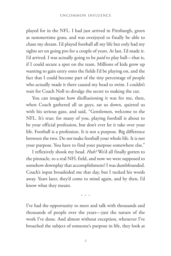played for in the NFL. I had just arrived in Pittsburgh, green as summertime grass, and was overjoyed to finally be able to chase my dream. I'd played football all my life but only had my sights set on going pro for a couple of years. At last, I'd made it. I'd arrived. I was actually going to be *paid* to play ball—that is, if I could secure a spot on the team. Millions of kids grow up wanting to gain entry onto the fields I'd be playing on, and the fact that I could become part of the tiny percentage of people who actually made it there caused my head to swim. I couldn't wait for Coach Noll to divulge the secret to making the cut.

You can imagine how disillusioning it was for me, then, when Coach gathered all us guys, sat us down, quieted us with his serious gaze, and said, "Gentlemen, welcome to the NFL. It's true: for many of you, playing football is about to be your official profession, but don't ever let it take over your life. Football is a profession. It is not a purpose. Big difference between the two. Do *not* make football your whole life. It is not your purpose. You have to find your purpose somewhere else."

I reflexively shook my head. *Huh?* We'd all finally gotten to the pinnacle, to a real NFL field, and now we were supposed to somehow downplay that accomplishment? I was dumbfounded. Coach's input broadsided me that day, but I tucked his words away. Years later, they'd come to mind again, and by then, I'd know what they meant.

• • •

I've had the opportunity to meet and talk with thousands and thousands of people over the years— just the nature of the work I've done. And almost without exception, whenever I've broached the subject of someone's purpose in life, they look at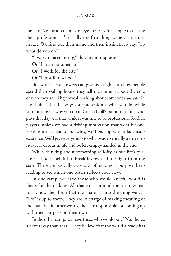me like I've sprouted an extra eye. It's easy for people to tell me their profession— it's usually the first thing we ask someone, in fact. We find out their name and then instinctively say, "So what do you do?"

"I work in accounting," they say in response.

Or "I'm an optometrist."

Or "I work for the city."

Or "I'm still in school."

But while these answers can give us insight into how people spend their waking hours, they tell me nothing about the core of who they are. They reveal nothing about someone's *purpose* in life. Think of it this way: your profession is what you do, while your purpose is why you do it. Coach Noll's point to us first-year guys that day was that while it was fine to be professional football players, unless we had a driving motivation that went beyond racking up accolades and wins, we'd end up with a lackluster existence. We'd give everything to what was essentially a three- to five-year detour in life and be left empty-handed in the end.

When thinking about something as lofty as our life's purpose, I find it helpful to break it down a little right from the start. There are basically two ways of looking at purpose; keep reading to see which one better reflects your view.

In one camp, we have those who would say the world is theirs for the making. All that exists around them is raw material; how they form that raw material into the thing we call "life" is up to them. They are in charge of making meaning of the material; in other words, they are responsible for coming up with their purpose on their own.

In the other camp, we have those who would say, "No, there's a better way than that." They believe that the world already has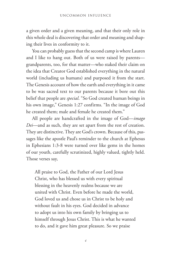a given order and a given meaning, and that their only role in this whole deal is discovering that order and meaning and shaping their lives in conformity to it.

You can probably guess that the second camp is where Lauren and I like to hang out. Both of us were raised by parents grandparents, too, for that matter—who staked their claim on the idea that Creator God established everything in the natural world (including us humans) and purposed it from the start. The Genesis account of how the earth and everything in it came to be was sacred text to our parents because it bore out this belief that people are *special*. "So God created human beings in his own image," Genesis 1:27 confirms. "In the image of God he created them; male and female he created them."

All people are handcrafted in the image of God—*imago Dei*—and as such, they are set apart from the rest of creation. They are distinctive. They are God's crown. Because of this, passages like the apostle Paul's reminder to the church at Ephesus in Ephesians 1:3-8 were turned over like gems in the homes of our youth, carefully scrutinized, highly valued, tightly held. Those verses say,

All praise to God, the Father of our Lord Jesus Christ, who has blessed us with every spiritual blessing in the heavenly realms because we are united with Christ. Even before he made the world, God loved us and chose us in Christ to be holy and without fault in his eyes. God decided in advance to adopt us into his own family by bringing us to himself through Jesus Christ. This is what he wanted to do, and it gave him great pleasure. So we praise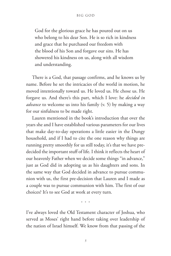#### Big God

God for the glorious grace he has poured out on us who belong to his dear Son. He is so rich in kindness and grace that he purchased our freedom with the blood of his Son and forgave our sins. He has showered his kindness on us, along with all wisdom and understanding.

There is a God, that passage confirms, and he knows us by name. Before he set the intricacies of the world in motion, he moved intentionally toward us. He loved us. He chose us. He forgave us. And there's this part, which I love: he *decided in advance* to welcome us into his family (v. 5) by making a way for our sinfulness to be made right.

Lauren mentioned in the book's introduction that over the years she and I have established various parameters for our lives that make day-to-day operations a little easier in the Dungy household, and if I had to cite the one reason why things are running pretty smoothly for us still today, it's that we have predecided the important stuff of life. I think it reflects the heart of our heavenly Father when we decide some things "in advance," just as God did in adopting us as his daughters and sons. In the same way that God decided in advance to pursue communion with us, the first pre-decision that Lauren and I made as a couple was to pursue communion with him. The first of our choices? It's to see God at work at every turn.

• • •

I've always loved the Old Testament character of Joshua, who served as Moses' right hand before taking over leadership of the nation of Israel himself. We know from that passing of the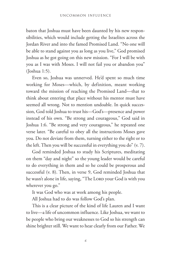baton that Joshua must have been daunted by his new responsibilities, which would include getting the Israelites across the Jordan River and into the famed Promised Land. "No one will be able to stand against you as long as you live," God promised Joshua as he got going on this new mission. "For I will be with you as I was with Moses. I will not fail you or abandon you" (Joshua 1:5).

Even so, Joshua was unnerved. He'd spent so much time working for Moses— which, by definition, meant working toward the mission of reaching the Promised Land— that to think about entering that place without his mentor must have seemed all wrong. Not to mention undoable. In quick succession, God told Joshua to trust his—God's—presence and power instead of his own. "Be strong and courageous," God said in Joshua 1:6. "Be strong and very courageous," he repeated one verse later. "Be careful to obey all the instructions Moses gave you. Do not deviate from them, turning either to the right or to the left. Then you will be successful in everything you do" (v. 7).

God reminded Joshua to study his Scriptures, meditating on them "day and night" so the young leader would be careful to do everything in them and so he could be prosperous and successful (v. 8). Then, in verse 9, God reminded Joshua that he wasn't alone in life, saying, "The Lord your God is with you wherever you go."

It was God who was at work among his people.

All Joshua had to do was follow God's plan.

This is a clear picture of the kind of life Lauren and I want to live—a life of uncommon influence. Like Joshua, we want to be people who bring our weaknesses to God so his strength can shine brighter still. We want to hear clearly from our Father. We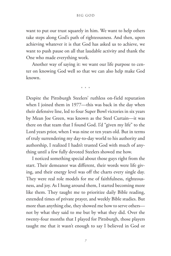#### Big God

want to put our trust squarely in him. We want to help others take steps along God's path of righteousness. And then, upon achieving whatever it is that God has asked us to achieve, we want to push pause on all that laudable activity and thank the One who made everything work.

Another way of saying it: we want our life purpose to center on knowing God well so that we can also help make God known.

• • •

Despite the Pittsburgh Steelers' ruthless on- field reputation when I joined them in 1977—this was back in the day when their defensive line, led to four Super Bowl victories in six years by Mean Joe Green, was known as the Steel Curtain—it was there on that team that I found God. I'd "given my life" to the Lord years prior, when I was nine or ten years old. But in terms of truly surrendering my day-to-day world to his authority and authorship, I realized I hadn't trusted God with much of anything until a few fully devoted Steelers showed me how.

I noticed something special about those guys right from the start. Their demeanor was different, their words were life giving, and their energy level was off the charts every single day. They were real role models for me of faithfulness, righteousness, and joy. As I hung around them, I started becoming more like them. They taught me to prioritize daily Bible reading, extended times of private prayer, and weekly Bible studies. But more than anything else, they showed me how to serve others not by what they said to me but by what they did. Over the twenty-four months that I played for Pittsburgh, those players taught me that it wasn't enough to say I believed in God or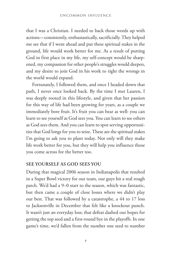that I was a Christian. I needed to back those words up with actions—consistently, enthusiastically, sacrificially. They helped me see that if I went ahead and put these spiritual stakes in the ground, life would work better for me. As a result of putting God in first place in my life, my self-concept would be sharpened, my compassion for other people's struggles would deepen, and my desire to join God in his work to right the wrongs in the world would expand.

Fortunately, I followed them, and once I headed down that path, I never once looked back. By the time I met Lauren, I was deeply rooted in this lifestyle, and given that her passion for this way of life had been growing for years, as a couple we immediately bore fruit. It's fruit you can bear as well: you can learn to see yourself as God sees you. You can learn to see others as God sees them. And you can learn to spot serving opportunities that God longs for you to seize. These are the spiritual stakes I'm going to ask you to plant today. Not only will they make life work better for you, but they will help you influence those you come across for the better too.

## **SEE YOURSELF AS GOD SEES YOU**

During that magical 2006 season in Indianapolis that resulted in a Super Bowl victory for our team, our guys hit a real rough patch. We'd had a 9–0 start to the season, which was fantastic, but then came a couple of close losses where we didn't play our best. That was followed by a catastrophe, a 44 to 17 loss to Jacksonville in December that felt like a knockout punch. It wasn't just an everyday loss; that defeat dashed our hopes for getting the top seed and a first- round bye in the playoffs. In one game's time, we'd fallen from the number one seed to number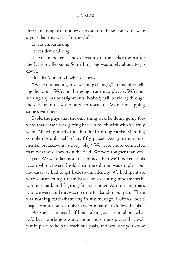three, and despite our noteworthy start to the season, some were saying that this was it for the Colts.

It was embarrassing.

It was demoralizing.

The team looked at me expectantly in the locker room after the Jacksonville game. Something big was surely about to go down.

But that's not at all what occurred.

"We're not making any sweeping changes," I remember telling the team. "We're not bringing in any new players. We're not altering any major assignments. Nobody will be riding through those doors on a white horse to rescue us. We're not tapping some savior here."

I told the guys that the only thing we'd be doing going forward that season was getting back in touch with who we truly were. Allowing nearly four hundred rushing yards? Manning completing only half of his fifty passes? Assignment errors, mental breakdowns, sloppy play? We were more connected than what we'd shown on the field. We were tougher than we'd played. We were far more disciplined than we'd looked. This wasn't who we were. I told them the solution was simple—but not easy: we had to get back to our identity. We had spent six years constructing a team based on executing fundamentals, working hard, and fighting for each other. At our core, that's who we were, and this was no time to abandon our plan. There was nothing earth-shattering in my message. I offered not a magic formula but a stubborn determination to follow the plan.

We spent the next half hour talking as a team about what we'd been working toward, about the various pieces that we'd put in place to help us reach our goals, and wouldn't you know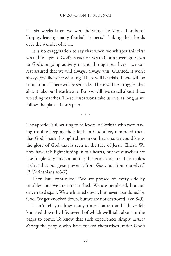it— six weeks later, we were hoisting the Vince Lombardi Trophy, leaving many football "experts" shaking their heads over the wonder of it all.

It is no exaggeration to say that when we whisper this first yes in life—yes to God's existence, yes to God's sovereignty, yes to God's ongoing activity in and through our lives— we can rest assured that we will always, always win. Granted, it won't always *feel* like we're winning. There will be trials. There will be tribulations. There will be setbacks. There will be struggles that all but take our breath away. But we will live to tell about these wrestling matches. These losses won't take us out, as long as we follow the plan—God's plan.

• • •

The apostle Paul, writing to believers in Corinth who were having trouble keeping their faith in God alive, reminded them that God "made this light shine in our hearts so we could know the glory of God that is seen in the face of Jesus Christ. We now have this light shining in our hearts, but we ourselves are like fragile clay jars containing this great treasure. This makes it clear that our great power is from God, not from ourselves" (2 Corinthians 4:6-7).

Then Paul continued: "We are pressed on every side by troubles, but we are not crushed. We are perplexed, but not driven to despair. We are hunted down, but never abandoned by God. We get knocked down, but we are not destroyed" (vv. 8-9).

I can't tell you how many times Lauren and I have felt knocked down by life, several of which we'll talk about in the pages to come. To know that such experiences simply *cannot destroy* the people who have tucked themselves under God's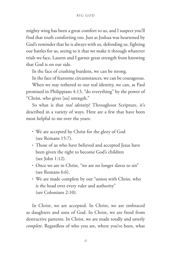mighty wing has been a great comfort to us, and I suspect you'll find that truth comforting too. Just as Joshua was heartened by God's reminder that he is always with us, defending us, fighting our battles for us, seeing to it that we make it through whatever trials we face, Lauren and I garner great strength from knowing that God is on our side.

In the face of crushing burdens, we can be strong.

In the face of fearsome circumstances, we can be courageous.

When we stay tethered to our real identity, we can, as Paul promised in Philippians 4:13, "do everything" by the power of "Christ, who gives [us] strength."

So what is that *real identity*? Throughout Scripture, it's described in a variety of ways. Here are a few that have been most helpful to me over the years:

- We are accepted by Christ for the glory of God (see Romans 15:7).
- Those of us who have believed and accepted Jesus have been given the right to become God's children (see John 1:12).
- Once we are in Christ, "we are no longer slaves to sin" (see Romans 6:6).
- We are made complete by our "union with Christ, who is the head over every ruler and authority" (see Colossians 2:10).

In Christ, we are accepted. In Christ, we are embraced as daughters and sons of God. In Christ, we are freed from destructive patterns. In Christ, we are made totally and utterly *complete*. Regardless of who you are, where you've been, what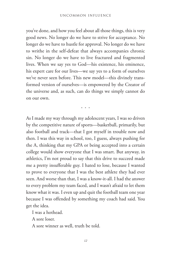you've done, and how you feel about all those things, this is very good news. No longer do we have to strive for acceptance. No longer do we have to hustle for approval. No longer do we have to writhe in the self-defeat that always accompanies chronic sin. No longer do we have to live fractured and fragmented lives. When we say yes to God—his existence, his eminence, his expert care for our lives—we say yes to a form of ourselves we've never seen before. This new model—this divinely transformed version of ourselves—is empowered by the Creator of the universe and, as such, can do things we simply cannot do on our own.

• • •

As I made my way through my adolescent years, I was so driven by the competitive nature of sports—basketball, primarily, but also football and track—that I got myself in trouble now and then. I was this way in school, too, I guess, always pushing for the A, thinking that my GPA or being accepted into a certain college would show everyone that I was smart. But anyway, in athletics, I'm not proud to say that this drive to succeed made me a pretty insufferable guy. I hated to lose, because I wanted to prove to everyone that I was the best athlete they had ever seen. And worse than that, I was a know-it-all. I had the answer to every problem my team faced, and I wasn't afraid to let them know what it was. I even up and quit the football team one year because I was offended by something my coach had said. You get the idea.

I was a hothead.

A sore loser.

A sore winner as well, truth be told.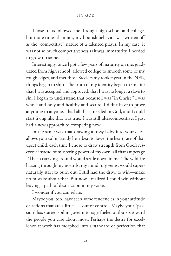### Big God

Those traits followed me through high school and college, but more times than not, my boorish behavior was written off as the "competitive" nature of a talented player. In my case, it was not so much competitiveness as it was immaturity. I needed to grow up some.

Interestingly, once I got a few years of maturity on me, graduated from high school, allowed college to smooth some of my rough edges, and met those Steelers my rookie year in the NFL, things began to shift. The truth of my identity began to sink in: that I was accepted and approved, that I was no longer a slave to sin. I began to understand that because I was "in Christ," I was whole and holy and healthy and secure. I didn't have to prove anything to anyone. I had all that I needed in God, and I could start living like that was true. I was still ultracompetitive. I just had a new approach to competing now.

In the same way that drawing a fussy baby into your chest allows your calm, steady heartbeat to lower the heart rate of that upset child, each time I chose to draw strength from God's reservoir instead of mustering power of my own, all that amperage I'd been carrying around would settle down in me. The wildfire blazing through my nostrils, my mind, my veins, would supernaturally start to burn out. I still had the drive to win—make no mistake about that. But now I realized I could win without leaving a path of destruction in my wake.

I wonder if you can relate.

Maybe you, too, have seen some tendencies in your attitude or actions that are a little . . . out of control. Maybe your "passion" has started spilling over into rage-fueled outbursts toward the people you care about most. Perhaps the desire for excellence at work has morphed into a standard of perfection that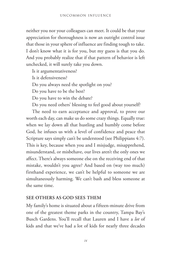neither you nor your colleagues can meet. It could be that your appreciation for thoroughness is now an outright control issue that those in your sphere of influence are finding tough to take. I don't know what it is for you, but my guess is that you do. And you probably realize that if that pattern of behavior is left unchecked, it will surely take you down.

Is it argumentativeness?

Is it defensiveness?

Do you always need the spotlight on you?

Do you have to be the best?

Do you have to win the debate?

Do you need others' blessing to feel good about yourself?

The need to earn acceptance and approval, to prove our worth each day, can make us do some crazy things. Equally true: when we lay down all that hustling and humbly come before God, he infuses us with a level of confidence and peace that Scripture says simply can't be understood (see Philippians 4:7). This is key, because when you and I misjudge, misapprehend, misunderstand, or misbehave, our lives aren't the only ones we affect. There's always someone else on the receiving end of that mistake, wouldn't you agree? And based on (way too much) firsthand experience, we can't be helpful to someone we are simultaneously harming. We can't bash and bless someone at the same time.

## **SEE OTHERS AS GOD SEES THEM**

My family's home is situated about a fifteen-minute drive from one of the greatest theme parks in the country, Tampa Bay's Busch Gardens. You'll recall that Lauren and I have a *lot* of kids and that we've had a lot of kids for nearly three decades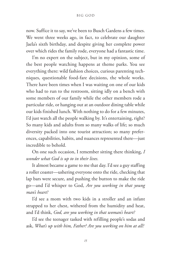#### Big God

now. Suffice it to say, we've been to Busch Gardens a few times. We went three weeks ago, in fact, to celebrate our daughter Jaela's sixth birthday, and despite giving her complete power over which rides the family rode, everyone had a fantastic time.

I'm no expert on the subject, but in my opinion, some of the best people watching happens at theme parks. You see everything there: wild fashion choices, curious parenting techniques, questionable food-fare decisions, the whole works. There have been times when I was waiting on one of our kids who had to run to the restroom, sitting idly on a bench with some members of our family while the other members rode a particular ride, or hanging out at an outdoor dining table while our kids finished lunch. With nothing to do for a few minutes, I'd just watch all the people walking by. It's entertaining, right? So many kids and adults from so many walks of life; so much diversity packed into one tourist attraction; so many preferences, capabilities, habits, and nuances represented there—just incredible to behold.

On one such occasion, I remember sitting there thinking, *I wonder what God is up to in their lives.*

It almost became a game to me that day. I'd see a guy staffing a roller coaster—ushering everyone onto the ride, checking that lap bars were secure, and pushing the button to make the ride go—and I'd whisper to God, *Are you working in that young man's heart?*

I'd see a mom with two kids in a stroller and an infant strapped to her chest, withered from the humidity and heat, and I'd think, *God, are you working in that woman's heart?*

I'd see the teenager tasked with refilling people's sodas and ask, *What's up with him, Father? Are you working on him at all?*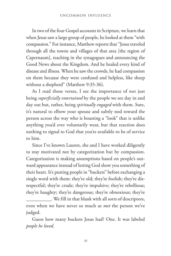In two of the four Gospel accounts in Scripture, we learn that when Jesus saw a large group of people, he looked at them "with compassion." For instance, Matthew reports that "Jesus traveled through all the towns and villages of that area [the region of Capernaum], teaching in the synagogues and announcing the Good News about the Kingdom. And he healed every kind of disease and illness. When he saw the crowds, he had compassion on them because they were confused and helpless, like sheep without a shepherd" (Matthew 9:35-36).

As I read those verses, I see the importance of not just being *superficially entertained* by the people we see day in and day out but, rather, being *spiritually engaged* with them. Sure, it's natural to elbow your spouse and subtly nod toward the person across the way who is boasting a "look" that is unlike anything you'd ever voluntarily wear, but that reaction does nothing to signal to God that you're available to be of service to him.

Since I've known Lauren, she and I have worked diligently to stay motivated not by categorization but by compassion. Categorization is making assumptions based on people's outward appearance instead of letting God show you something of their heart. It's putting people in "buckets" before exchanging a single word with them: they're old; they're foolish; they're disrespectful; they're crude; they're impulsive; they're rebellious; they're haughty; they're dangerous; they're obnoxious; they're \_\_\_\_\_\_\_\_\_\_. We fill in that blank with all sorts of descriptors, even when we have never so much as *met* the person we've judged.

Guess how many buckets Jesus had? One. It was labeled *people he loved*.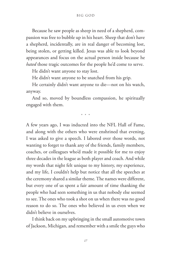Because he saw people as sheep in need of a shepherd, compassion was free to bubble up in his heart. Sheep that don't have a shepherd, incidentally, are in real danger of becoming lost, being stolen, or getting killed. Jesus was able to look beyond appearances and focus on the actual person inside because he *hated* those tragic outcomes for the people he'd come to serve.

He didn't want anyone to stay lost.

He didn't want anyone to be snatched from his grip.

He certainly didn't want anyone to die—not on his watch, anyway.

And so, moved by boundless compassion, he spiritually engaged with them.

• • •

A few years ago, I was inducted into the NFL Hall of Fame, and along with the others who were enshrined that evening, I was asked to give a speech. I labored over those words, not wanting to forget to thank any of the friends, family members, coaches, or colleagues who'd made it possible for me to enjoy three decades in the league as both player and coach. And while my words that night felt unique to my history, my experience, and my life, I couldn't help but notice that all the speeches at the ceremony shared a similar theme. The names were different, but every one of us spent a fair amount of time thanking the people who had seen something in us that nobody else seemed to see. The ones who took a shot on us when there was no good reason to do so. The ones who believed in us even when we didn't believe in ourselves.

I think back on my upbringing in the small automotive town of Jackson, Michigan, and remember with a smile the guys who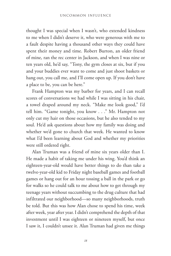thought I was special when I wasn't, who extended kindness to me when I didn't deserve it, who were generous with me to a fault despite having a thousand other ways they could have spent their money and time. Robert Burton, an older friend of mine, ran the rec center in Jackson, and when I was nine or ten years old, he'd say, "Tony, the gym closes at six, but if you and your buddies ever want to come and just shoot baskets or hang out, you call me, and I'll come open up. If you don't have a place to be, you can be here."

Frank Hampton was my barber for years, and I can recall scores of conversations we had while I was sitting in his chair, a towel draped around my neck. "Make me look good," I'd tell him. "Game tonight, you know . . ." Mr. Hampton not only cut my hair on those occasions, but he also tended to my soul. He'd ask questions about how my family was doing and whether we'd gone to church that week. He wanted to know what I'd been learning about God and whether my priorities were still ordered right.

Alan Truman was a friend of mine six years older than I. He made a habit of taking me under his wing. You'd think an eighteen-year-old would have better things to do than take a twelve-year-old kid to Friday night baseball games and football games or hang out for an hour tossing a ball in the park or go for walks so he could talk to me about how to get through my teenage years without succumbing to the drug culture that had infiltrated our neighborhood—so many neighborhoods, truth be told. But this was how Alan chose to spend his time, week after week, year after year. I didn't comprehend the depth of that investment until I was eighteen or nineteen myself, but once I saw it, I couldn't unsee it. Alan Truman had given me things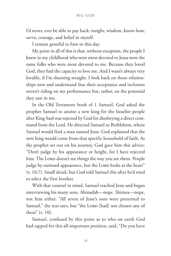I'd never, ever be able to pay back: insight, wisdom, know-how, savvy, courage, and belief in myself.

I remain grateful to him to this day.

My point in all of this is that, without exception, the people I knew in my childhood who were most devoted to Jesus were the same folks who were most devoted to me. Because they loved God, they had the capacity to love me. And I wasn't always very lovable, if I'm shooting straight. I look back on those relationships now and understand that their acceptance and inclusion weren't riding on my performance but, rather, on the potential they saw in me.

In the Old Testament book of 1 Samuel, God asked the prophet Samuel to anoint a new king for the Israelite people after King Saul was rejected by God for disobeying a direct command from the Lord. He directed Samuel to Bethlehem, where Samuel would find a man named Jesse. God explained that the new king would come from that specific household of faith. As the prophet set out on his journey, God gave him this advice: "Don't judge by his appearance or height, for I have rejected him. The Lorp doesn't see things the way you see them. People judge by outward appearance, but the LORD looks at the heart" (v. 16:7). Small detail, but God told Samuel this after he'd tried to select the first brother.

With that counsel in mind, Samuel reached Jesse and began interviewing his many sons. Abinadab—nope. Shimea—nope, not him either. "All seven of Jesse's sons were presented to Samuel," the text says, but "the LORD [had] not chosen any of these" (v. 10).

Samuel, confused by this point as to who on earth God had tapped for this all-important position, said, "Do you have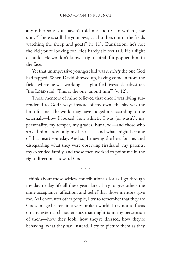any other sons you haven't told me about?" to which Jesse said, "There is still the youngest, . . . but he's out in the fields watching the sheep and goats" (v. 11). Translation: he's not the kid you're looking for. He's barely six feet tall. He's slight of build. He wouldn't know a tight spiral if it popped him in the face.

Yet that unimpressive youngest kid was *precisely* the one God had tapped. When David showed up, having come in from the fields where he was working as a glorified livestock babysitter, "the Lord said, 'This is the one; anoint him'" (v. 12).

Those mentors of mine believed that once I was living surrendered to God's ways instead of my own, the sky was the limit for me. The world may have judged me according to the externals— how I looked, how athletic I was (or wasn't), my personality, my temper, my grades. But God—and those who served him—saw only my heart . . . and what might become of that heart someday. And so, believing the best for me, and disregarding what they were observing firsthand, my parents, my extended family, and those men worked to point me in the right direction—toward God.

I think about those selfless contributions a lot as I go through my day-to-day life all these years later. I try to give others the same acceptance, affection, and belief that those mentors gave me. As I encounter other people, I try to remember that they are God's image bearers in a very broken world. I try not to focus on any external characteristics that might taint my perception of them— how they look, how they're dressed, how they're behaving, what they say. Instead, I try to picture them as they

• • •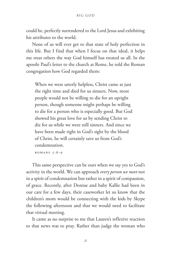could be, perfectly surrendered to the Lord Jesus and exhibiting his attributes to the world.

None of us will ever get to that state of holy perfection in this life. But I find that when I focus on that ideal, it helps me treat others the way God himself has treated us all. In the apostle Paul's letter to the church at Rome, he told the Roman congregation how God regarded them:

When we were utterly helpless, Christ came at just the right time and died for us sinners. Now, most people would not be willing to die for an upright person, though someone might perhaps be willing to die for a person who is especially good. But God showed his great love for us by sending Christ to die for us while we were still sinners. And since we have been made right in God's sight by the blood of Christ, he will certainly save us from God's condemnation.

ROMANS  $5:6-9$ 

This same perspective can be ours when we say yes to God's activity in the world. We can approach *every person we meet* not in a spirit of condemnation but rather in a spirit of compassion, of grace. Recently, after Dontae and baby Kallie had been in our care for a few days, their caseworker let us know that the children's mom would be connecting with the kids by Skype the following afternoon and that we would need to facilitate that virtual meeting.

It came as no surprise to me that Lauren's reflexive reaction to that news was to pray. Rather than judge the woman who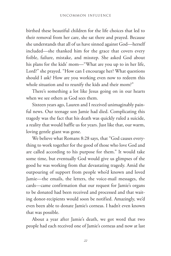birthed these beautiful children for the life choices that led to their removal from her care, she sat there and prayed. Because she understands that all of us have sinned against God—herself included— she thanked him for the grace that covers every foible, failure, mistake, and misstep. She asked God about his plans for the kids' mom—"What are you up to in her life, Lord?" she prayed. "How can I encourage her? What questions should I ask? How are you working even now to redeem this whole situation and to reunify the kids and their mom?"

There's something a lot like Jesus going on in our hearts when we see others as God sees them.

Sixteen years ago, Lauren and I received unimaginably painful news. Our teenage son Jamie had died. Complicating this tragedy was the fact that his death was quickly ruled a suicide, a reality that would baffle us for years. Just like that, our warm, loving gentle giant was gone.

We believe what Romans 8:28 says, that "God causes everything to work together for the good of those who love God and are called according to his purpose for them." It would take some time, but eventually God would give us glimpses of the good he was working from that devastating tragedy. Amid the outpouring of support from people who'd known and loved Jamie— the emails, the letters, the voice- mail messages, the cards—came confirmation that our request for Jamie's organs to be donated had been received and processed and that waiting donor-recipients would soon be notified. Amazingly, we'd even been able to donate Jamie's corneas. I hadn't even known that was possible.

About a year after Jamie's death, we got word that two people had each received one of Jamie's corneas and now at last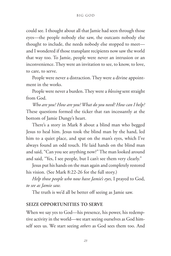could see. I thought about all that Jamie had seen through those eyes— the people nobody else saw, the outcasts nobody else thought to include, the needs nobody else stopped to meet and I wondered if those transplant recipients now saw the world that way too. To Jamie, people were never an intrusion or an inconvenience. They were an invitation to see, to know, to love, to care, to serve.

People were never a distraction. They were a divine appointment in the works.

People were never a burden. They were a *blessing* sent straight from God.

*Who are you? How are you? What do you need? How can I help?* These questions formed the ticker that ran incessantly at the bottom of Jamie Dungy's heart.

There's a story in Mark 8 about a blind man who begged Jesus to heal him. Jesus took the blind man by the hand, led him to a quiet place, and spat on the man's eyes, which I've always found an odd touch. He laid hands on the blind man and said, "Can you see anything now?" The man looked around and said, "Yes, I see people, but I can't see them very clearly."

Jesus put his hands on the man again and completely restored his vision. (See Mark 8:22-26 for the full story.)

*Help those people who now have Jamie's eyes,* I prayed to God, *to see as Jamie saw.*

The truth is we'd all be better off seeing as Jamie saw.

## **SEIZE OPPORTUNITIES TO SERVE**

When we say yes to God—his presence, his power, his redemptive activity in the world—we start seeing ourselves as God himself sees us. We start seeing *others* as God sees them too. And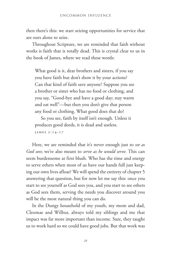then there's this: we start seizing opportunities for service that are ours alone to seize.

Throughout Scripture, we are reminded that faith without works is faith that is totally dead. This is crystal clear to us in the book of James, where we read these words:

What good is it, dear brothers and sisters, if you say you have faith but don't show it by your actions? Can that kind of faith save anyone? Suppose you see a brother or sister who has no food or clothing, and you say, "Good-bye and have a good day; stay warm and eat well"—but then you don't give that person any food or clothing. What good does that do?

So you see, faith by itself isn't enough. Unless it produces good deeds, it is dead and useless. James 2:14-17

Here, we are reminded that it's never enough just to *see as God sees*; we're also meant to *serve as he would serve*. This can seem burdensome at first blush. Who has the time and energy to serve others when most of us have our hands full just keeping our own lives afloat? We will spend the entirety of chapter 5 answering that question, but for now let me say this: once you start to see yourself as God sees you, and you start to see others as God sees them, serving the needs you discover around you will be the most natural thing you can do.

In the Dungy household of my youth, my mom and dad, Cleomae and Wilbur, always told my siblings and me that impact was far more important than income. Sure, they taught us to work hard so we could have good jobs. But that work was